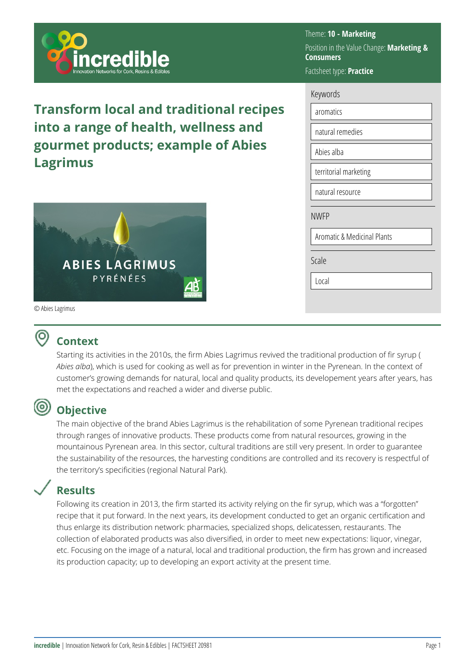

**Transform local and traditional recipes into a range of health, wellness and gourmet products; example of Abies Lagrimus**



© Abies Lagrimus

ര

### Theme: **10 - Marketing**  Position in the Value Change: **Marketing & Consumers**  Factsheet type: **Practice**

| Keywords |
|----------|
|----------|

| aromatics                   |
|-----------------------------|
| natural remedies            |
| Abies alba                  |
| territorial marketing       |
| natural resource            |
| <b>NWFP</b>                 |
| Aromatic & Medicinal Plants |
| Scale                       |
|                             |
| Local                       |

### **Context**

Starting its activities in the 2010s, the firm Abies Lagrimus revived the traditional production of fir syrup ( *Abies alba*), which is used for cooking as well as for prevention in winter in the Pyrenean. In the context of customer's growing demands for natural, local and quality products, its developement years after years, has met the expectations and reached a wider and diverse public.

## **Objective**

The main objective of the brand Abies Lagrimus is the rehabilitation of some Pyrenean traditional recipes through ranges of innovative products. These products come from natural resources, growing in the mountainous Pyrenean area. In this sector, cultural traditions are still very present. In order to guarantee the sustainability of the resources, the harvesting conditions are controlled and its recovery is respectful of the territory's specificities (regional Natural Park).

# **Results**

Following its creation in 2013, the firm started its activity relying on the fir syrup, which was a "forgotten" recipe that it put forward. In the next years, its development conducted to get an organic certification and thus enlarge its distribution network: pharmacies, specialized shops, delicatessen, restaurants. The collection of elaborated products was also diversified, in order to meet new expectations: liquor, vinegar, etc. Focusing on the image of a natural, local and traditional production, the firm has grown and increased its production capacity; up to developing an export activity at the present time.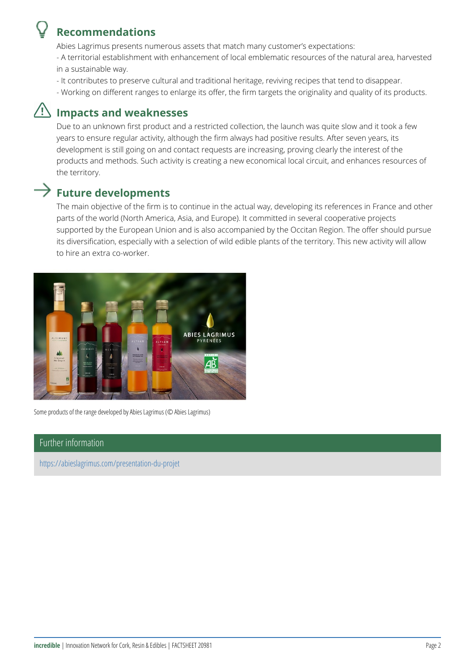### Recommendations

Abies Lagrimus presents numerous assets that match many customer s ex - A territorial establishment with enhancement of local emblemarareistedsour in a sustainable way.

- It contributes to preserve cultural and traditional heritage, reviving rec
- Working on different ranges to enlarge its offer, the firm targets the or

#### Impacts and weaknesses

Due to an unknown first product and a restricted collection, the launch w years to ensure regular activity, although the firm always had positive re development is still going on and contact requests are increasing, provin products and methods. Such activity is creating a new economical local c the territory.

#### Future developments

The main objective of the firm is to continue in the actual way, developin parts of the world (North America, Asia, and Europe). It committed in sev supported by the European Union and is also accompanied by the Occitan its diversification, especially with a selection of wild edible plants of the to hire an extra co-worker.

Some products of the range developed by Abies Lagrimus (© Abies Lagrimus)

#### Further information

[https://abieslagrimus.c](https://abieslagrimus.com/presentation-du-projet)om/presentation-du-projet